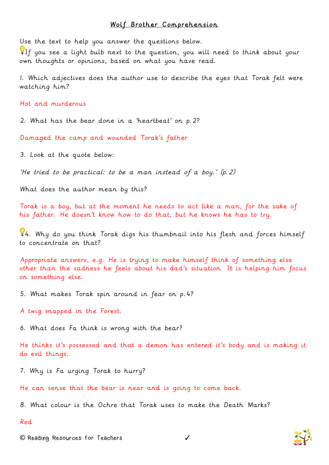## Wolf Brother Comprehension

Use the text to help you answer the questions below.

If you see a light bulb next to the question, you will need to think about your own thoughts or opinions, based on what you have read.

1. Which adjectives does the author use to describe the eyes that Torak felt were watching him?

Hot and murderous

2. What has the bear done in a 'heartbeat' on p.2?

Damaged the camp and wounded Torak's father

3. Look at the quote below:

'He tried to be practical: to be a man instead of a boy.' (p.2)

What does the author mean by this?

Torak is a boy, but at the moment he needs to act like a man, for the sake of his father. He doesn't know how to do that, but he knows he has to try.

 $44.$  Why do you think Torak digs his thumbnail into his flesh and forces himself to concentrate on that?

Appropriate answers, e.g. He is trying to make himself think of something else other than the sadness he feels about his dad's situation. It is helping him focus on something else.

5. What makes Torak spin around in fear on p.4?

A twig snapped in the Forest.

6. What does Fa think is wrong with the bear?

He thinks it's possessed and that a demon has entered it's body and is making it do evil things.

7. Why is Fa urging Torak to hurry?

He can sense that the bear is near and is going to come back.

8. What colour is the Ochre that Torak uses to make the Death Marks?

Red

**©** Reading Resources for Teachers ✓